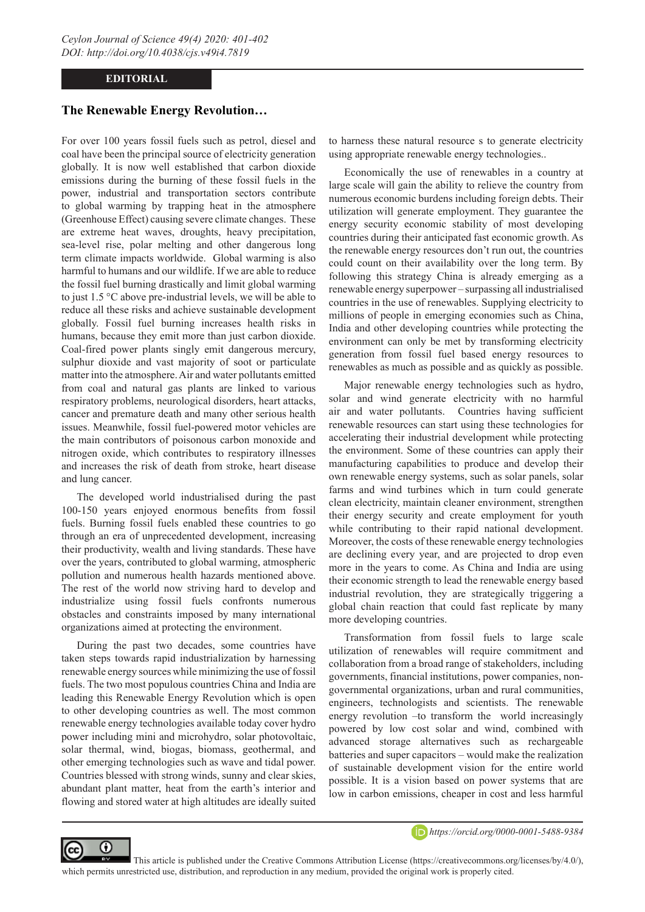## **EDITORIAL**

## **The Renewable Energy Revolution…**

For over 100 years fossil fuels such as petrol, diesel and coal have been the principal source of electricity generation globally. It is now well established that carbon dioxide emissions during the burning of these fossil fuels in the power, industrial and transportation sectors contribute to global warming by trapping heat in the atmosphere (Greenhouse Effect) causing severe climate changes. These are extreme heat waves, droughts, heavy precipitation, sea-level rise, polar melting and other dangerous long term climate impacts worldwide. Global warming is also harmful to humans and our wildlife. If we are able to reduce the fossil fuel burning drastically and limit global warming to just 1.5 °C above pre-industrial levels, we will be able to reduce all these risks and achieve sustainable development globally. Fossil fuel burning increases health risks in humans, because they emit more than just carbon dioxide. Coal-fired power plants singly emit dangerous mercury, sulphur dioxide and vast majority of soot or particulate matter into the atmosphere. Air and water pollutants emitted from coal and natural gas plants are linked to various respiratory problems, neurological disorders, heart attacks, cancer and premature death and many other serious health issues. Meanwhile, fossil fuel-powered motor vehicles are the main contributors of poisonous carbon monoxide and nitrogen oxide, which contributes to respiratory illnesses and increases the risk of death from stroke, heart disease and lung cancer.

The developed world industrialised during the past 100-150 years enjoyed enormous benefits from fossil fuels. Burning fossil fuels enabled these countries to go through an era of unprecedented development, increasing their productivity, wealth and living standards. These have over the years, contributed to global warming, atmospheric pollution and numerous health hazards mentioned above. The rest of the world now striving hard to develop and industrialize using fossil fuels confronts numerous obstacles and constraints imposed by many international organizations aimed at protecting the environment.

During the past two decades, some countries have taken steps towards rapid industrialization by harnessing renewable energy sources while minimizing the use of fossil fuels. The two most populous countries China and India are leading this Renewable Energy Revolution which is open to other developing countries as well. The most common renewable energy technologies available today cover hydro power including mini and microhydro, solar photovoltaic, solar thermal, wind, biogas, biomass, geothermal, and other emerging technologies such as wave and tidal power. Countries blessed with strong winds, sunny and clear skies, abundant plant matter, heat from the earth's interior and flowing and stored water at high altitudes are ideally suited

⋒

to harness these natural resource s to generate electricity using appropriate renewable energy technologies..

Economically the use of renewables in a country at large scale will gain the ability to relieve the country from numerous economic burdens including foreign debts. Their utilization will generate employment. They guarantee the energy security economic stability of most developing countries during their anticipated fast economic growth. As the renewable energy resources don't run out, the countries could count on their availability over the long term. By following this strategy China is already emerging as a renewable energy superpower – surpassing all industrialised countries in the use of renewables. Supplying electricity to millions of people in emerging economies such as China, India and other developing countries while protecting the environment can only be met by transforming electricity generation from fossil fuel based energy resources to renewables as much as possible and as quickly as possible.

Major renewable energy technologies such as hydro, solar and wind generate electricity with no harmful air and water pollutants. Countries having sufficient renewable resources can start using these technologies for accelerating their industrial development while protecting the environment. Some of these countries can apply their manufacturing capabilities to produce and develop their own renewable energy systems, such as solar panels, solar farms and wind turbines which in turn could generate clean electricity, maintain cleaner environment, strengthen their energy security and create employment for youth while contributing to their rapid national development. Moreover, the costs of these renewable energy technologies are declining every year, and are projected to drop even more in the years to come. As China and India are using their economic strength to lead the renewable energy based industrial revolution, they are strategically triggering a global chain reaction that could fast replicate by many more developing countries.

Transformation from fossil fuels to large scale utilization of renewables will require commitment and collaboration from a broad range of stakeholders, including governments, financial institutions, power companies, nongovernmental organizations, urban and rural communities, engineers, technologists and scientists. The renewable energy revolution –to transform the world increasingly powered by low cost solar and wind, combined with advanced storage alternatives such as rechargeable batteries and super capacitors – would make the realization of sustainable development vision for the entire world possible. It is a vision based on power systems that are low in carbon emissions, cheaper in cost and less harmful



 This article is published under the Creative Commons Attribution License (https://creativecommons.org/licenses/by/4.0/), which permits unrestricted use, distribution, and reproduction in any medium, provided the original work is properly cited.